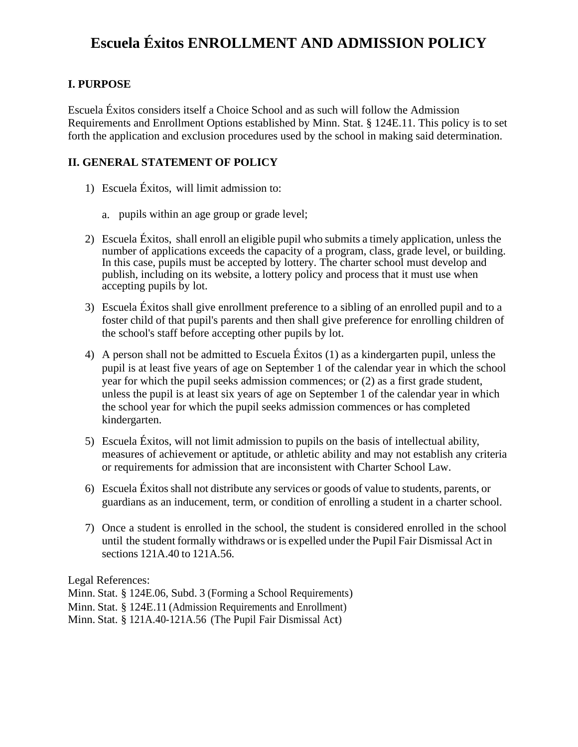## **Escuela Éxitos ENROLLMENT AND ADMISSION POLICY**

## **I. PURPOSE**

Escuela Éxitos considers itself a Choice School and as such will follow the Admission Requirements and Enrollment Options established by Minn. Stat. § 124E.11. This policy is to set forth the application and exclusion procedures used by the school in making said determination.

## **II. GENERAL STATEMENT OF POLICY**

- 1) Escuela Éxitos, will limit admission to:
	- a. pupils within an age group or grade level;
- 2) Escuela Éxitos, shall enroll an eligible pupil who submits a timely application, unless the number of applications exceeds the capacity of a program, class, grade level, or building. In this case, pupils must be accepted by lottery. The charter school must develop and publish, including on its website, a lottery policy and process that it must use when accepting pupils by lot.
- 3) Escuela Éxitos shall give enrollment preference to a sibling of an enrolled pupil and to a foster child of that pupil's parents and then shall give preference for enrolling children of the school's staff before accepting other pupils by lot.
- 4) A person shall not be admitted to Escuela Éxitos (1) as a kindergarten pupil, unless the pupil is at least five years of age on September 1 of the calendar year in which the school year for which the pupil seeks admission commences; or (2) as a first grade student, unless the pupil is at least six years of age on September 1 of the calendar year in which the school year for which the pupil seeks admission commences or has completed kindergarten.
- 5) Escuela Éxitos, will not limit admission to pupils on the basis of intellectual ability, measures of achievement or aptitude, or athletic ability and may not establish any criteria or requirements for admission that are inconsistent with Charter School Law.
- 6) Escuela Éxitosshall not distribute any services or goods of value to students, parents, or guardians as an inducement, term, or condition of enrolling a student in a charter school.
- 7) Once a student is enrolled in the school, the student is considered enrolled in the school until the student formally withdraws or is expelled under the Pupil Fair Dismissal Act in sections 121A.40 to 121A.56.

Legal References:

Minn. Stat. § 124E.06, Subd. 3 (Forming a School Requirements) Minn. Stat. § 124E.11 (Admission Requirements and Enrollment)

Minn. Stat. § 121A.40-121A.56 (The Pupil Fair Dismissal Act)